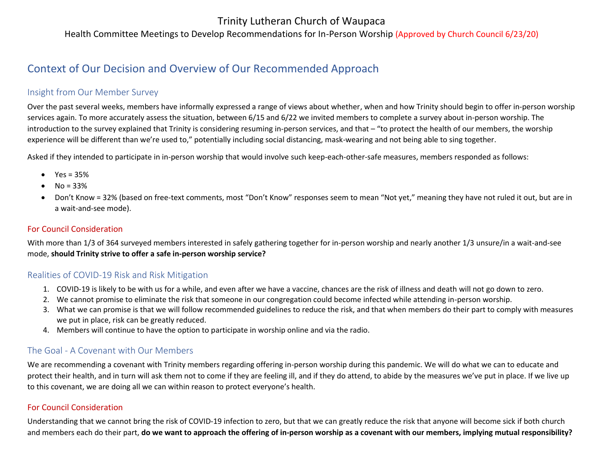## Trinity Lutheran Church of Waupaca

Health Committee Meetings to Develop Recommendations for In-Person Worship (Approved by Church Council 6/23/20)

# Context of Our Decision and Overview of Our Recommended Approach

#### Insight from Our Member Survey

Over the past several weeks, members have informally expressed a range of views about whether, when and how Trinity should begin to offer in-person worship services again. To more accurately assess the situation, between 6/15 and 6/22 we invited members to complete a survey about in-person worship. The introduction to the survey explained that Trinity is considering resuming in-person services, and that – "to protect the health of our members, the worship experience will be different than we're used to," potentially including social distancing, mask-wearing and not being able to sing together.

Asked if they intended to participate in in-person worship that would involve such keep-each-other-safe measures, members responded as follows:

- $Yes = 35%$
- $No = 33%$
- Don't Know = 32% (based on free-text comments, most "Don't Know" responses seem to mean "Not yet," meaning they have not ruled it out, but are in a wait-and-see mode).

#### For Council Consideration

With more than 1/3 of 364 surveyed members interested in safely gathering together for in-person worship and nearly another 1/3 unsure/in a wait-and-see mode, **should Trinity strive to offer a safe in-person worship service?**

#### Realities of COVID-19 Risk and Risk Mitigation

- 1. COVID-19 is likely to be with us for a while, and even after we have a vaccine, chances are the risk of illness and death will not go down to zero.
- 2. We cannot promise to eliminate the risk that someone in our congregation could become infected while attending in-person worship.
- 3. What we can promise is that we will follow recommended guidelines to reduce the risk, and that when members do their part to comply with measures we put in place, risk can be greatly reduced.
- 4. Members will continue to have the option to participate in worship online and via the radio.

## The Goal - A Covenant with Our Members

We are recommending a covenant with Trinity members regarding offering in-person worship during this pandemic. We will do what we can to educate and protect their health, and in turn will ask them not to come if they are feeling ill, and if they do attend, to abide by the measures we've put in place. If we live up to this covenant, we are doing all we can within reason to protect everyone's health.

#### For Council Consideration

Understanding that we cannot bring the risk of COVID-19 infection to zero, but that we can greatly reduce the risk that anyone will become sick if both church and members each do their part, **do we want to approach the offering of in-person worship as a covenant with our members, implying mutual responsibility?**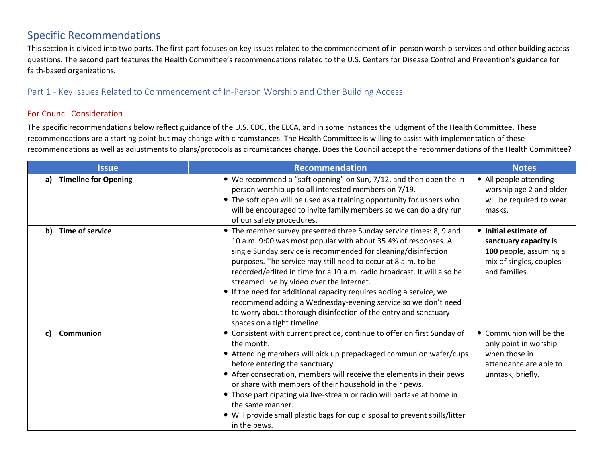## Specific Recommendations

This section is divided into two parts. The first part focuses on key issues related to the commencement of in-person worship services and other building access questions. The second part features the Health Committee's recommendations related to the U.S. Centers for Disease Control and Prevention's guidance for faith-based organizations.

#### Part 1 - Key Issues Related to Commencement of In-Person Worship and Other Building Access

#### For Council Consideration

The specific recommendations below reflect guidance of the U.S. CDC, the ELCA, and in some instances the judgment of the Health Committee. These recommendations are a starting point but may change with circumstances. The Health Committee is willing to assist with implementation of these recommendations as well as adjustments to plans/protocols as circumstances change. Does the Council accept the recommendations of the Health Committee?

| <b>Issue</b>                      | <b>Recommendation</b>                                                                                                                                                                                                                                                                                                                                                                                                                                                                                                                                                                                                                    | <b>Notes</b>                                                                                                         |
|-----------------------------------|------------------------------------------------------------------------------------------------------------------------------------------------------------------------------------------------------------------------------------------------------------------------------------------------------------------------------------------------------------------------------------------------------------------------------------------------------------------------------------------------------------------------------------------------------------------------------------------------------------------------------------------|----------------------------------------------------------------------------------------------------------------------|
| <b>Timeline for Opening</b><br>a) | • We recommend a "soft opening" on Sun, 7/12, and then open the in-<br>person worship up to all interested members on 7/19.<br>• The soft open will be used as a training opportunity for ushers who<br>will be encouraged to invite family members so we can do a dry run<br>of our safety procedures.                                                                                                                                                                                                                                                                                                                                  | • All people attending<br>worship age 2 and older<br>will be required to wear<br>masks.                              |
| <b>Time of service</b><br>b)      | • The member survey presented three Sunday service times: 8, 9 and<br>10 a.m. 9:00 was most popular with about 35.4% of responses. A<br>single Sunday service is recommended for cleaning/disinfection<br>purposes. The service may still need to occur at 8 a.m. to be<br>recorded/edited in time for a 10 a.m. radio broadcast. It will also be<br>streamed live by video over the Internet.<br>• If the need for additional capacity requires adding a service, we<br>recommend adding a Wednesday-evening service so we don't need<br>to worry about thorough disinfection of the entry and sanctuary<br>spaces on a tight timeline. | • Initial estimate of<br>sanctuary capacity is<br>100 people, assuming a<br>mix of singles, couples<br>and families. |
| Communion<br>C)                   | • Consistent with current practice, continue to offer on first Sunday of<br>the month.<br>• Attending members will pick up prepackaged communion wafer/cups<br>before entering the sanctuary.<br>• After consecration, members will receive the elements in their pews<br>or share with members of their household in their pews.<br>• Those participating via live-stream or radio will partake at home in<br>the same manner.<br>• Will provide small plastic bags for cup disposal to prevent spills/litter<br>in the pews.                                                                                                           | • Communion will be the<br>only point in worship<br>when those in<br>attendance are able to<br>unmask, briefly.      |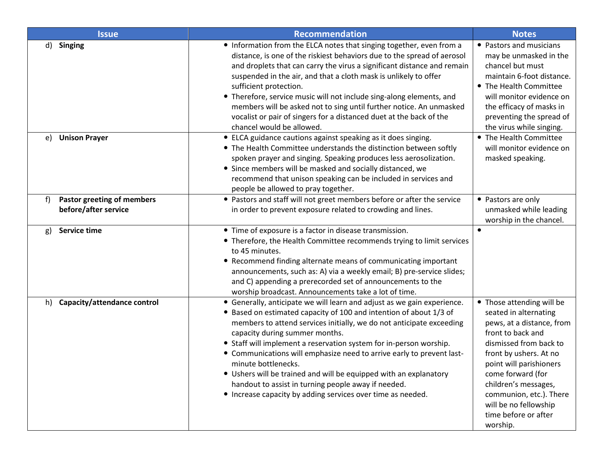| <b>Issue</b>                                             | Recommendation                                                                                                                                                                                                                                                                                                                                                                                                                                                                                                                                                                                                           | <b>Notes</b>                                                                                                                                                                                                                                                                                                             |
|----------------------------------------------------------|--------------------------------------------------------------------------------------------------------------------------------------------------------------------------------------------------------------------------------------------------------------------------------------------------------------------------------------------------------------------------------------------------------------------------------------------------------------------------------------------------------------------------------------------------------------------------------------------------------------------------|--------------------------------------------------------------------------------------------------------------------------------------------------------------------------------------------------------------------------------------------------------------------------------------------------------------------------|
| d)<br><b>Singing</b>                                     | • Information from the ELCA notes that singing together, even from a<br>distance, is one of the riskiest behaviors due to the spread of aerosol<br>and droplets that can carry the virus a significant distance and remain<br>suspended in the air, and that a cloth mask is unlikely to offer<br>sufficient protection.<br>• Therefore, service music will not include sing-along elements, and<br>members will be asked not to sing until further notice. An unmasked<br>vocalist or pair of singers for a distanced duet at the back of the<br>chancel would be allowed.                                              | • Pastors and musicians<br>may be unmasked in the<br>chancel but must<br>maintain 6-foot distance.<br>• The Health Committee<br>will monitor evidence on<br>the efficacy of masks in<br>preventing the spread of<br>the virus while singing.                                                                             |
| <b>Unison Prayer</b><br>e)                               | • ELCA guidance cautions against speaking as it does singing.<br>• The Health Committee understands the distinction between softly<br>spoken prayer and singing. Speaking produces less aerosolization.<br>• Since members will be masked and socially distanced, we<br>recommend that unison speaking can be included in services and<br>people be allowed to pray together.                                                                                                                                                                                                                                            | • The Health Committee<br>will monitor evidence on<br>masked speaking.                                                                                                                                                                                                                                                   |
| Pastor greeting of members<br>f)<br>before/after service | • Pastors and staff will not greet members before or after the service<br>in order to prevent exposure related to crowding and lines.                                                                                                                                                                                                                                                                                                                                                                                                                                                                                    | • Pastors are only<br>unmasked while leading<br>worship in the chancel.                                                                                                                                                                                                                                                  |
| Service time<br>g)                                       | • Time of exposure is a factor in disease transmission.<br>• Therefore, the Health Committee recommends trying to limit services<br>to 45 minutes.<br>• Recommend finding alternate means of communicating important<br>announcements, such as: A) via a weekly email; B) pre-service slides;<br>and C) appending a prerecorded set of announcements to the<br>worship broadcast. Announcements take a lot of time.                                                                                                                                                                                                      | $\bullet$                                                                                                                                                                                                                                                                                                                |
| Capacity/attendance control<br>h)                        | • Generally, anticipate we will learn and adjust as we gain experience.<br>• Based on estimated capacity of 100 and intention of about 1/3 of<br>members to attend services initially, we do not anticipate exceeding<br>capacity during summer months.<br>• Staff will implement a reservation system for in-person worship.<br>• Communications will emphasize need to arrive early to prevent last-<br>minute bottlenecks.<br>• Ushers will be trained and will be equipped with an explanatory<br>handout to assist in turning people away if needed.<br>• Increase capacity by adding services over time as needed. | • Those attending will be<br>seated in alternating<br>pews, at a distance, from<br>front to back and<br>dismissed from back to<br>front by ushers. At no<br>point will parishioners<br>come forward (for<br>children's messages,<br>communion, etc.). There<br>will be no fellowship<br>time before or after<br>worship. |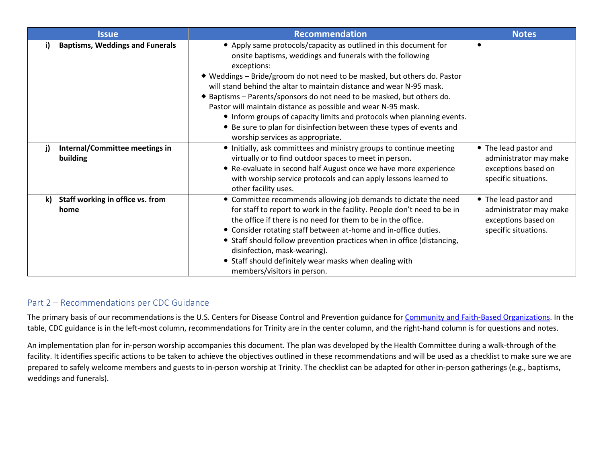|    | <b>Issue</b>                                | <b>Recommendation</b>                                                                                                                                                                                                                                                                                                                                                                                                                                                                                                                                                                                                             | <b>Notes</b>                                                                                   |
|----|---------------------------------------------|-----------------------------------------------------------------------------------------------------------------------------------------------------------------------------------------------------------------------------------------------------------------------------------------------------------------------------------------------------------------------------------------------------------------------------------------------------------------------------------------------------------------------------------------------------------------------------------------------------------------------------------|------------------------------------------------------------------------------------------------|
| i) | <b>Baptisms, Weddings and Funerals</b>      | • Apply same protocols/capacity as outlined in this document for<br>onsite baptisms, weddings and funerals with the following<br>exceptions:<br>◆ Weddings – Bride/groom do not need to be masked, but others do. Pastor<br>will stand behind the altar to maintain distance and wear N-95 mask.<br>◆ Baptisms – Parents/sponsors do not need to be masked, but others do.<br>Pastor will maintain distance as possible and wear N-95 mask.<br>• Inform groups of capacity limits and protocols when planning events.<br>• Be sure to plan for disinfection between these types of events and<br>worship services as appropriate. | $\bullet$                                                                                      |
| j) | Internal/Committee meetings in<br>building  | • Initially, ask committees and ministry groups to continue meeting<br>virtually or to find outdoor spaces to meet in person.<br>• Re-evaluate in second half August once we have more experience<br>with worship service protocols and can apply lessons learned to<br>other facility uses.                                                                                                                                                                                                                                                                                                                                      | • The lead pastor and<br>administrator may make<br>exceptions based on<br>specific situations. |
|    | k) Staff working in office vs. from<br>home | • Committee recommends allowing job demands to dictate the need<br>for staff to report to work in the facility. People don't need to be in<br>the office if there is no need for them to be in the office.<br>• Consider rotating staff between at-home and in-office duties.<br>• Staff should follow prevention practices when in office (distancing,<br>disinfection, mask-wearing).<br>• Staff should definitely wear masks when dealing with<br>members/visitors in person.                                                                                                                                                  | • The lead pastor and<br>administrator may make<br>exceptions based on<br>specific situations. |

## Part 2 – Recommendations per CDC Guidance

The primary basis of our recommendations is the U.S. Centers for Disease Control and Prevention guidance for [Community and Faith-Based Organizations.](https://www.cdc.gov/coronavirus/2019-ncov/community/organizations/index.html) In the table, CDC guidance is in the left-most column, recommendations for Trinity are in the center column, and the right-hand column is for questions and notes.

An implementation plan for in-person worship accompanies this document. The plan was developed by the Health Committee during a walk-through of the facility. It identifies specific actions to be taken to achieve the objectives outlined in these recommendations and will be used as a checklist to make sure we are prepared to safely welcome members and guests to in-person worship at Trinity. The checklist can be adapted for other in-person gatherings (e.g., baptisms, weddings and funerals).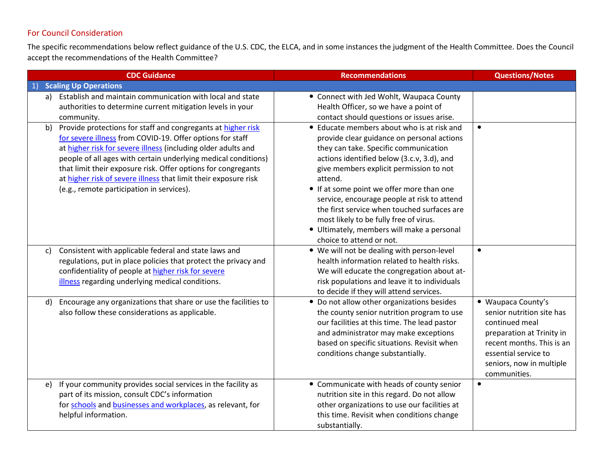## For Council Consideration

The specific recommendations below reflect guidance of the U.S. CDC, the ELCA, and in some instances the judgment of the Health Committee. Does the Council accept the recommendations of the Health Committee?

|              | <b>CDC Guidance</b>                                                                                                                                                                                                                                                                                                                                                                                                                           | <b>Recommendations</b>                                                                                                                                                                                                                                                                                                                                                                                                                                                                               | <b>Questions/Notes</b>                                                                                                                                                                          |
|--------------|-----------------------------------------------------------------------------------------------------------------------------------------------------------------------------------------------------------------------------------------------------------------------------------------------------------------------------------------------------------------------------------------------------------------------------------------------|------------------------------------------------------------------------------------------------------------------------------------------------------------------------------------------------------------------------------------------------------------------------------------------------------------------------------------------------------------------------------------------------------------------------------------------------------------------------------------------------------|-------------------------------------------------------------------------------------------------------------------------------------------------------------------------------------------------|
| 1)           | <b>Scaling Up Operations</b>                                                                                                                                                                                                                                                                                                                                                                                                                  |                                                                                                                                                                                                                                                                                                                                                                                                                                                                                                      |                                                                                                                                                                                                 |
| a)           | Establish and maintain communication with local and state<br>authorities to determine current mitigation levels in your<br>community.                                                                                                                                                                                                                                                                                                         | • Connect with Jed Wohlt, Waupaca County<br>Health Officer, so we have a point of<br>contact should questions or issues arise.                                                                                                                                                                                                                                                                                                                                                                       |                                                                                                                                                                                                 |
| b)           | Provide protections for staff and congregants at higher risk<br>for severe illness from COVID-19. Offer options for staff<br>at higher risk for severe illness (including older adults and<br>people of all ages with certain underlying medical conditions)<br>that limit their exposure risk. Offer options for congregants<br>at higher risk of severe illness that limit their exposure risk<br>(e.g., remote participation in services). | • Educate members about who is at risk and<br>provide clear guidance on personal actions<br>they can take. Specific communication<br>actions identified below (3.c.v, 3.d), and<br>give members explicit permission to not<br>attend.<br>• If at some point we offer more than one<br>service, encourage people at risk to attend<br>the first service when touched surfaces are<br>most likely to be fully free of virus.<br>• Ultimately, members will make a personal<br>choice to attend or not. | $\bullet$                                                                                                                                                                                       |
| $\mathsf{C}$ | Consistent with applicable federal and state laws and<br>regulations, put in place policies that protect the privacy and<br>confidentiality of people at higher risk for severe<br>illness regarding underlying medical conditions.                                                                                                                                                                                                           | . We will not be dealing with person-level<br>health information related to health risks.<br>We will educate the congregation about at-<br>risk populations and leave it to individuals<br>to decide if they will attend services.                                                                                                                                                                                                                                                                   | $\bullet$                                                                                                                                                                                       |
| d)           | Encourage any organizations that share or use the facilities to<br>also follow these considerations as applicable.                                                                                                                                                                                                                                                                                                                            | • Do not allow other organizations besides<br>the county senior nutrition program to use<br>our facilities at this time. The lead pastor<br>and administrator may make exceptions<br>based on specific situations. Revisit when<br>conditions change substantially.                                                                                                                                                                                                                                  | • Waupaca County's<br>senior nutrition site has<br>continued meal<br>preparation at Trinity in<br>recent months. This is an<br>essential service to<br>seniors, now in multiple<br>communities. |
| e)           | If your community provides social services in the facility as<br>part of its mission, consult CDC's information<br>for schools and businesses and workplaces, as relevant, for<br>helpful information.                                                                                                                                                                                                                                        | • Communicate with heads of county senior<br>nutrition site in this regard. Do not allow<br>other organizations to use our facilities at<br>this time. Revisit when conditions change<br>substantially.                                                                                                                                                                                                                                                                                              | $\bullet$                                                                                                                                                                                       |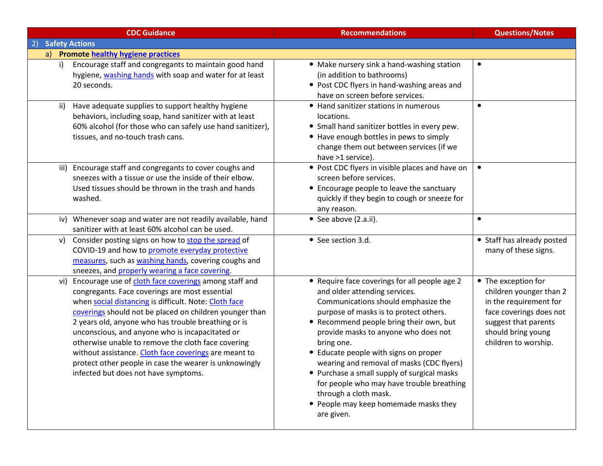| <b>CDC Guidance</b>                                                                                                                                                                                                                                                                                                                                                                                                                                                                                                                                           | <b>Recommendations</b>                                                                                                                                                                                                                                                                                                                                                                                                                                                                                                             | <b>Questions/Notes</b>                                                                                                                                                    |
|---------------------------------------------------------------------------------------------------------------------------------------------------------------------------------------------------------------------------------------------------------------------------------------------------------------------------------------------------------------------------------------------------------------------------------------------------------------------------------------------------------------------------------------------------------------|------------------------------------------------------------------------------------------------------------------------------------------------------------------------------------------------------------------------------------------------------------------------------------------------------------------------------------------------------------------------------------------------------------------------------------------------------------------------------------------------------------------------------------|---------------------------------------------------------------------------------------------------------------------------------------------------------------------------|
| <b>Safety Actions</b><br>2)                                                                                                                                                                                                                                                                                                                                                                                                                                                                                                                                   |                                                                                                                                                                                                                                                                                                                                                                                                                                                                                                                                    |                                                                                                                                                                           |
| a) Promote healthy hygiene practices                                                                                                                                                                                                                                                                                                                                                                                                                                                                                                                          |                                                                                                                                                                                                                                                                                                                                                                                                                                                                                                                                    |                                                                                                                                                                           |
| Encourage staff and congregants to maintain good hand<br>i)<br>hygiene, washing hands with soap and water for at least<br>20 seconds.                                                                                                                                                                                                                                                                                                                                                                                                                         | • Make nursery sink a hand-washing station<br>(in addition to bathrooms)<br>• Post CDC flyers in hand-washing areas and<br>have on screen before services.                                                                                                                                                                                                                                                                                                                                                                         |                                                                                                                                                                           |
| Have adequate supplies to support healthy hygiene<br>ii)<br>behaviors, including soap, hand sanitizer with at least<br>60% alcohol (for those who can safely use hand sanitizer),<br>tissues, and no-touch trash cans.                                                                                                                                                                                                                                                                                                                                        | • Hand sanitizer stations in numerous<br>locations.<br>• Small hand sanitizer bottles in every pew.<br>• Have enough bottles in pews to simply<br>change them out between services (if we<br>have >1 service).                                                                                                                                                                                                                                                                                                                     | $\bullet$                                                                                                                                                                 |
| iii) Encourage staff and congregants to cover coughs and<br>sneezes with a tissue or use the inside of their elbow.<br>Used tissues should be thrown in the trash and hands<br>washed.                                                                                                                                                                                                                                                                                                                                                                        | • Post CDC flyers in visible places and have on<br>screen before services.<br>• Encourage people to leave the sanctuary<br>quickly if they begin to cough or sneeze for<br>any reason.                                                                                                                                                                                                                                                                                                                                             | $\bullet$                                                                                                                                                                 |
| iv) Whenever soap and water are not readily available, hand<br>sanitizer with at least 60% alcohol can be used.                                                                                                                                                                                                                                                                                                                                                                                                                                               | • See above (2.a.ii).                                                                                                                                                                                                                                                                                                                                                                                                                                                                                                              | $\bullet$                                                                                                                                                                 |
| v) Consider posting signs on how to stop the spread of<br>COVID-19 and how to promote everyday protective<br>measures, such as washing hands, covering coughs and<br>sneezes, and properly wearing a face covering.                                                                                                                                                                                                                                                                                                                                           | • See section 3.d.                                                                                                                                                                                                                                                                                                                                                                                                                                                                                                                 | • Staff has already posted<br>many of these signs.                                                                                                                        |
| Encourage use of cloth face coverings among staff and<br>vi)<br>congregants. Face coverings are most essential<br>when social distancing is difficult. Note: Cloth face<br>coverings should not be placed on children younger than<br>2 years old, anyone who has trouble breathing or is<br>unconscious, and anyone who is incapacitated or<br>otherwise unable to remove the cloth face covering<br>without assistance. Cloth face coverings are meant to<br>protect other people in case the wearer is unknowingly<br>infected but does not have symptoms. | • Require face coverings for all people age 2<br>and older attending services.<br>Communications should emphasize the<br>purpose of masks is to protect others.<br>• Recommend people bring their own, but<br>provide masks to anyone who does not<br>bring one.<br>• Educate people with signs on proper<br>wearing and removal of masks (CDC flyers)<br>• Purchase a small supply of surgical masks<br>for people who may have trouble breathing<br>through a cloth mask.<br>• People may keep homemade masks they<br>are given. | • The exception for<br>children younger than 2<br>in the requirement for<br>face coverings does not<br>suggest that parents<br>should bring young<br>children to worship. |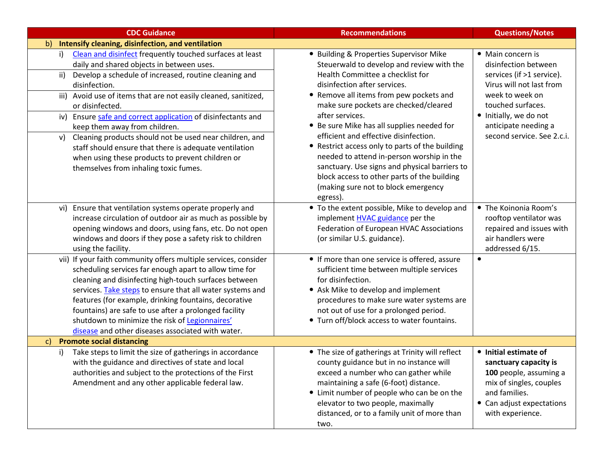| <b>CDC Guidance</b>                                                                                                                                                                                                                                                                                                                                                                                                                                                                                                                                                                                         | <b>Recommendations</b>                                                                                                                                                                                                                                                                                                                                                                                                                                                                                                                                                                                    | <b>Questions/Notes</b>                                                                                                                                                                                                     |
|-------------------------------------------------------------------------------------------------------------------------------------------------------------------------------------------------------------------------------------------------------------------------------------------------------------------------------------------------------------------------------------------------------------------------------------------------------------------------------------------------------------------------------------------------------------------------------------------------------------|-----------------------------------------------------------------------------------------------------------------------------------------------------------------------------------------------------------------------------------------------------------------------------------------------------------------------------------------------------------------------------------------------------------------------------------------------------------------------------------------------------------------------------------------------------------------------------------------------------------|----------------------------------------------------------------------------------------------------------------------------------------------------------------------------------------------------------------------------|
| Intensify cleaning, disinfection, and ventilation<br>$\mathsf{b}$                                                                                                                                                                                                                                                                                                                                                                                                                                                                                                                                           |                                                                                                                                                                                                                                                                                                                                                                                                                                                                                                                                                                                                           |                                                                                                                                                                                                                            |
| Clean and disinfect frequently touched surfaces at least<br>i)<br>daily and shared objects in between uses.<br>Develop a schedule of increased, routine cleaning and<br>ii)<br>disinfection.<br>iii) Avoid use of items that are not easily cleaned, sanitized,<br>or disinfected.<br>iv) Ensure safe and correct application of disinfectants and<br>keep them away from children.<br>Cleaning products should not be used near children, and<br>v)<br>staff should ensure that there is adequate ventilation<br>when using these products to prevent children or<br>themselves from inhaling toxic fumes. | • Building & Properties Supervisor Mike<br>Steuerwald to develop and review with the<br>Health Committee a checklist for<br>disinfection after services.<br>• Remove all items from pew pockets and<br>make sure pockets are checked/cleared<br>after services.<br>• Be sure Mike has all supplies needed for<br>efficient and effective disinfection.<br>• Restrict access only to parts of the building<br>needed to attend in-person worship in the<br>sanctuary. Use signs and physical barriers to<br>block access to other parts of the building<br>(making sure not to block emergency<br>egress). | • Main concern is<br>disinfection between<br>services (if >1 service).<br>Virus will not last from<br>week to week on<br>touched surfaces.<br>· Initially, we do not<br>anticipate needing a<br>second service. See 2.c.i. |
| vi) Ensure that ventilation systems operate properly and<br>increase circulation of outdoor air as much as possible by<br>opening windows and doors, using fans, etc. Do not open<br>windows and doors if they pose a safety risk to children<br>using the facility.                                                                                                                                                                                                                                                                                                                                        | • To the extent possible, Mike to develop and<br>implement <b>HVAC</b> guidance per the<br>Federation of European HVAC Associations<br>(or similar U.S. guidance).                                                                                                                                                                                                                                                                                                                                                                                                                                        | • The Koinonia Room's<br>rooftop ventilator was<br>repaired and issues with<br>air handlers were<br>addressed 6/15.                                                                                                        |
| vii) If your faith community offers multiple services, consider<br>scheduling services far enough apart to allow time for<br>cleaning and disinfecting high-touch surfaces between<br>services. Take steps to ensure that all water systems and<br>features (for example, drinking fountains, decorative<br>fountains) are safe to use after a prolonged facility<br>shutdown to minimize the risk of Legionnaires'<br>disease and other diseases associated with water.                                                                                                                                    | • If more than one service is offered, assure<br>sufficient time between multiple services<br>for disinfection.<br>• Ask Mike to develop and implement<br>procedures to make sure water systems are<br>not out of use for a prolonged period.<br>• Turn off/block access to water fountains.                                                                                                                                                                                                                                                                                                              | $\bullet$                                                                                                                                                                                                                  |
| <b>Promote social distancing</b><br>$\mathsf{c}$                                                                                                                                                                                                                                                                                                                                                                                                                                                                                                                                                            |                                                                                                                                                                                                                                                                                                                                                                                                                                                                                                                                                                                                           |                                                                                                                                                                                                                            |
| Take steps to limit the size of gatherings in accordance<br>i)<br>with the guidance and directives of state and local<br>authorities and subject to the protections of the First<br>Amendment and any other applicable federal law.                                                                                                                                                                                                                                                                                                                                                                         | • The size of gatherings at Trinity will reflect<br>county guidance but in no instance will<br>exceed a number who can gather while<br>maintaining a safe (6-foot) distance.<br>• Limit number of people who can be on the<br>elevator to two people, maximally<br>distanced, or to a family unit of more than<br>two.                                                                                                                                                                                                                                                                                    | • Initial estimate of<br>sanctuary capacity is<br>100 people, assuming a<br>mix of singles, couples<br>and families.<br>• Can adjust expectations<br>with experience.                                                      |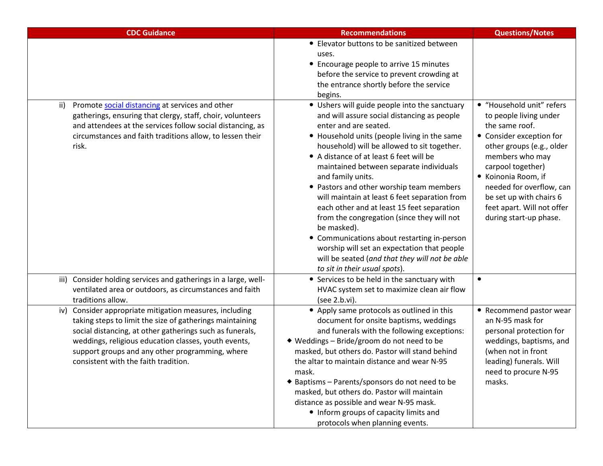| <b>CDC Guidance</b>                                                                                                                                                                                                                                                                                                                   | <b>Recommendations</b>                                                                                                                                                                                                                                                                                                                                                                                                                                                                                                                                                                                                                                                                                                   | <b>Questions/Notes</b>                                                                                                                                                                                                                                                                                       |
|---------------------------------------------------------------------------------------------------------------------------------------------------------------------------------------------------------------------------------------------------------------------------------------------------------------------------------------|--------------------------------------------------------------------------------------------------------------------------------------------------------------------------------------------------------------------------------------------------------------------------------------------------------------------------------------------------------------------------------------------------------------------------------------------------------------------------------------------------------------------------------------------------------------------------------------------------------------------------------------------------------------------------------------------------------------------------|--------------------------------------------------------------------------------------------------------------------------------------------------------------------------------------------------------------------------------------------------------------------------------------------------------------|
|                                                                                                                                                                                                                                                                                                                                       | • Elevator buttons to be sanitized between<br>uses.<br>• Encourage people to arrive 15 minutes<br>before the service to prevent crowding at<br>the entrance shortly before the service<br>begins.                                                                                                                                                                                                                                                                                                                                                                                                                                                                                                                        |                                                                                                                                                                                                                                                                                                              |
| Promote social distancing at services and other<br>ii)<br>gatherings, ensuring that clergy, staff, choir, volunteers<br>and attendees at the services follow social distancing, as<br>circumstances and faith traditions allow, to lessen their<br>risk.                                                                              | • Ushers will guide people into the sanctuary<br>and will assure social distancing as people<br>enter and are seated.<br>• Household units (people living in the same<br>household) will be allowed to sit together.<br>• A distance of at least 6 feet will be<br>maintained between separate individuals<br>and family units.<br>• Pastors and other worship team members<br>will maintain at least 6 feet separation from<br>each other and at least 15 feet separation<br>from the congregation (since they will not<br>be masked).<br>• Communications about restarting in-person<br>worship will set an expectation that people<br>will be seated (and that they will not be able<br>to sit in their usual spots). | · "Household unit" refers<br>to people living under<br>the same roof.<br>• Consider exception for<br>other groups (e.g., older<br>members who may<br>carpool together)<br>• Koinonia Room, if<br>needed for overflow, can<br>be set up with chairs 6<br>feet apart. Will not offer<br>during start-up phase. |
| iii) Consider holding services and gatherings in a large, well-<br>ventilated area or outdoors, as circumstances and faith<br>traditions allow.                                                                                                                                                                                       | • Services to be held in the sanctuary with<br>HVAC system set to maximize clean air flow<br>(see 2.b.vi).                                                                                                                                                                                                                                                                                                                                                                                                                                                                                                                                                                                                               | $\bullet$                                                                                                                                                                                                                                                                                                    |
| Consider appropriate mitigation measures, including<br>iv)<br>taking steps to limit the size of gatherings maintaining<br>social distancing, at other gatherings such as funerals,<br>weddings, religious education classes, youth events,<br>support groups and any other programming, where<br>consistent with the faith tradition. | • Apply same protocols as outlined in this<br>document for onsite baptisms, weddings<br>and funerals with the following exceptions:<br>◆ Weddings - Bride/groom do not need to be<br>masked, but others do. Pastor will stand behind<br>the altar to maintain distance and wear N-95<br>mask.<br>◆ Baptisms – Parents/sponsors do not need to be<br>masked, but others do. Pastor will maintain<br>distance as possible and wear N-95 mask.<br>• Inform groups of capacity limits and<br>protocols when planning events.                                                                                                                                                                                                 | • Recommend pastor wear<br>an N-95 mask for<br>personal protection for<br>weddings, baptisms, and<br>(when not in front<br>leading) funerals. Will<br>need to procure N-95<br>masks.                                                                                                                         |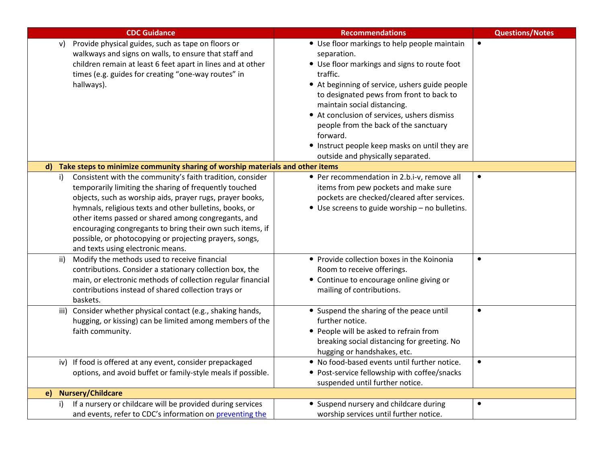| <b>CDC Guidance</b>                                                                                                                                                                                                                                                                                                                                                                                                                                                   | <b>Recommendations</b>                                                                                                                                                                                                                                                                                                                                                                                                                          | <b>Questions/Notes</b> |
|-----------------------------------------------------------------------------------------------------------------------------------------------------------------------------------------------------------------------------------------------------------------------------------------------------------------------------------------------------------------------------------------------------------------------------------------------------------------------|-------------------------------------------------------------------------------------------------------------------------------------------------------------------------------------------------------------------------------------------------------------------------------------------------------------------------------------------------------------------------------------------------------------------------------------------------|------------------------|
| Provide physical guides, such as tape on floors or<br>v)<br>walkways and signs on walls, to ensure that staff and<br>children remain at least 6 feet apart in lines and at other<br>times (e.g. guides for creating "one-way routes" in<br>hallways).                                                                                                                                                                                                                 | • Use floor markings to help people maintain<br>separation.<br>• Use floor markings and signs to route foot<br>traffic.<br>• At beginning of service, ushers guide people<br>to designated pews from front to back to<br>maintain social distancing.<br>• At conclusion of services, ushers dismiss<br>people from the back of the sanctuary<br>forward.<br>• Instruct people keep masks on until they are<br>outside and physically separated. | $\bullet$              |
| Take steps to minimize community sharing of worship materials and other items<br>$\mathbf{d}$                                                                                                                                                                                                                                                                                                                                                                         |                                                                                                                                                                                                                                                                                                                                                                                                                                                 |                        |
| Consistent with the community's faith tradition, consider<br>i)<br>temporarily limiting the sharing of frequently touched<br>objects, such as worship aids, prayer rugs, prayer books,<br>hymnals, religious texts and other bulletins, books, or<br>other items passed or shared among congregants, and<br>encouraging congregants to bring their own such items, if<br>possible, or photocopying or projecting prayers, songs,<br>and texts using electronic means. | • Per recommendation in 2.b.i-v, remove all<br>items from pew pockets and make sure<br>pockets are checked/cleared after services.<br>• Use screens to guide worship - no bulletins.                                                                                                                                                                                                                                                            | $\bullet$              |
| Modify the methods used to receive financial<br>ii)<br>contributions. Consider a stationary collection box, the<br>main, or electronic methods of collection regular financial<br>contributions instead of shared collection trays or<br>baskets.                                                                                                                                                                                                                     | • Provide collection boxes in the Koinonia<br>Room to receive offerings.<br>• Continue to encourage online giving or<br>mailing of contributions.                                                                                                                                                                                                                                                                                               | $\bullet$              |
| iii) Consider whether physical contact (e.g., shaking hands,<br>hugging, or kissing) can be limited among members of the<br>faith community.                                                                                                                                                                                                                                                                                                                          | • Suspend the sharing of the peace until<br>further notice.<br>• People will be asked to refrain from<br>breaking social distancing for greeting. No<br>hugging or handshakes, etc.                                                                                                                                                                                                                                                             | $\bullet$              |
| iv) If food is offered at any event, consider prepackaged<br>options, and avoid buffet or family-style meals if possible.                                                                                                                                                                                                                                                                                                                                             | . No food-based events until further notice.<br>• Post-service fellowship with coffee/snacks<br>suspended until further notice.                                                                                                                                                                                                                                                                                                                 | $\bullet$              |
| <b>Nursery/Childcare</b><br>e)                                                                                                                                                                                                                                                                                                                                                                                                                                        |                                                                                                                                                                                                                                                                                                                                                                                                                                                 |                        |
| If a nursery or childcare will be provided during services<br>and events, refer to CDC's information on preventing the                                                                                                                                                                                                                                                                                                                                                | • Suspend nursery and childcare during<br>worship services until further notice.                                                                                                                                                                                                                                                                                                                                                                | $\bullet$              |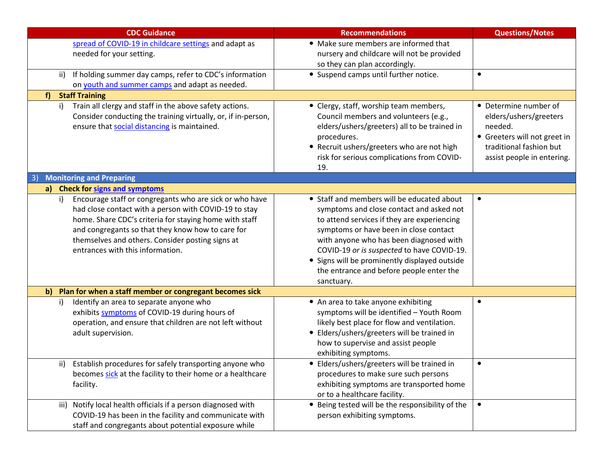| <b>CDC Guidance</b>                                                                                                                                                                                                                                                                                                           | <b>Recommendations</b>                                                                                                                                                                                                                                                                                                                                                              | <b>Questions/Notes</b>                                                                                                                              |
|-------------------------------------------------------------------------------------------------------------------------------------------------------------------------------------------------------------------------------------------------------------------------------------------------------------------------------|-------------------------------------------------------------------------------------------------------------------------------------------------------------------------------------------------------------------------------------------------------------------------------------------------------------------------------------------------------------------------------------|-----------------------------------------------------------------------------------------------------------------------------------------------------|
| spread of COVID-19 in childcare settings and adapt as                                                                                                                                                                                                                                                                         | • Make sure members are informed that                                                                                                                                                                                                                                                                                                                                               |                                                                                                                                                     |
| needed for your setting.                                                                                                                                                                                                                                                                                                      | nursery and childcare will not be provided<br>so they can plan accordingly.                                                                                                                                                                                                                                                                                                         |                                                                                                                                                     |
| If holding summer day camps, refer to CDC's information<br>ii)                                                                                                                                                                                                                                                                | • Suspend camps until further notice.                                                                                                                                                                                                                                                                                                                                               | $\bullet$                                                                                                                                           |
| on youth and summer camps and adapt as needed.                                                                                                                                                                                                                                                                                |                                                                                                                                                                                                                                                                                                                                                                                     |                                                                                                                                                     |
| <b>Staff Training</b><br>f)                                                                                                                                                                                                                                                                                                   |                                                                                                                                                                                                                                                                                                                                                                                     |                                                                                                                                                     |
| Train all clergy and staff in the above safety actions.<br>$\mathsf{i}$<br>Consider conducting the training virtually, or, if in-person,<br>ensure that social distancing is maintained.                                                                                                                                      | • Clergy, staff, worship team members,<br>Council members and volunteers (e.g.,<br>elders/ushers/greeters) all to be trained in<br>procedures.<br>• Recruit ushers/greeters who are not high<br>risk for serious complications from COVID-<br>19.                                                                                                                                   | • Determine number of<br>elders/ushers/greeters<br>needed.<br>• Greeters will not greet in<br>traditional fashion but<br>assist people in entering. |
| <b>Monitoring and Preparing</b>                                                                                                                                                                                                                                                                                               |                                                                                                                                                                                                                                                                                                                                                                                     |                                                                                                                                                     |
| a) Check for signs and symptoms                                                                                                                                                                                                                                                                                               |                                                                                                                                                                                                                                                                                                                                                                                     |                                                                                                                                                     |
| Encourage staff or congregants who are sick or who have<br>i)<br>had close contact with a person with COVID-19 to stay<br>home. Share CDC's criteria for staying home with staff<br>and congregants so that they know how to care for<br>themselves and others. Consider posting signs at<br>entrances with this information. | • Staff and members will be educated about<br>symptoms and close contact and asked not<br>to attend services if they are experiencing<br>symptoms or have been in close contact<br>with anyone who has been diagnosed with<br>COVID-19 or is suspected to have COVID-19.<br>• Signs will be prominently displayed outside<br>the entrance and before people enter the<br>sanctuary. | $\bullet$                                                                                                                                           |
| Plan for when a staff member or congregant becomes sick<br>$\mathbf{b}$                                                                                                                                                                                                                                                       |                                                                                                                                                                                                                                                                                                                                                                                     |                                                                                                                                                     |
| Identify an area to separate anyone who<br>i)<br>exhibits symptoms of COVID-19 during hours of<br>operation, and ensure that children are not left without<br>adult supervision.                                                                                                                                              | • An area to take anyone exhibiting<br>symptoms will be identified - Youth Room<br>likely best place for flow and ventilation.<br>• Elders/ushers/greeters will be trained in<br>how to supervise and assist people<br>exhibiting symptoms.                                                                                                                                         | $\bullet$                                                                                                                                           |
| Establish procedures for safely transporting anyone who<br>ii)<br>becomes sick at the facility to their home or a healthcare<br>facility.                                                                                                                                                                                     | • Elders/ushers/greeters will be trained in<br>procedures to make sure such persons<br>exhibiting symptoms are transported home<br>or to a healthcare facility.                                                                                                                                                                                                                     | $\bullet$                                                                                                                                           |
| iii) Notify local health officials if a person diagnosed with<br>COVID-19 has been in the facility and communicate with<br>staff and congregants about potential exposure while                                                                                                                                               | • Being tested will be the responsibility of the<br>person exhibiting symptoms.                                                                                                                                                                                                                                                                                                     | $\bullet$                                                                                                                                           |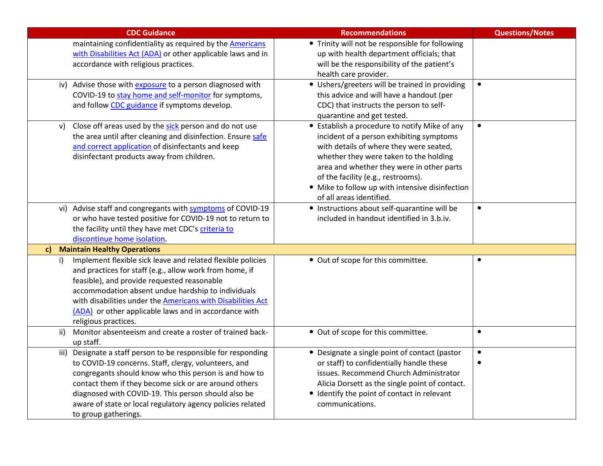| <b>CDC Guidance</b>                                                                                          | <b>Recommendations</b>                                                                        | <b>Questions/Notes</b> |
|--------------------------------------------------------------------------------------------------------------|-----------------------------------------------------------------------------------------------|------------------------|
| maintaining confidentiality as required by the <b>Americans</b>                                              | • Trinity will not be responsible for following                                               |                        |
| with Disabilities Act (ADA) or other applicable laws and in                                                  | up with health department officials; that                                                     |                        |
| accordance with religious practices.                                                                         | will be the responsibility of the patient's                                                   |                        |
|                                                                                                              | health care provider.                                                                         |                        |
| Advise those with <b>exposure</b> to a person diagnosed with<br>iv)                                          | • Ushers/greeters will be trained in providing                                                | $\bullet$              |
| COVID-19 to stay home and self-monitor for symptoms,                                                         | this advice and will have a handout (per                                                      |                        |
| and follow CDC guidance if symptoms develop.                                                                 | CDC) that instructs the person to self-                                                       |                        |
|                                                                                                              | quarantine and get tested.                                                                    |                        |
| Close off areas used by the sick person and do not use<br>V)                                                 | • Establish a procedure to notify Mike of any                                                 | $\bullet$              |
| the area until after cleaning and disinfection. Ensure safe                                                  | incident of a person exhibiting symptoms                                                      |                        |
| and correct application of disinfectants and keep                                                            | with details of where they were seated,                                                       |                        |
| disinfectant products away from children.                                                                    | whether they were taken to the holding<br>area and whether they were in other parts           |                        |
|                                                                                                              | of the facility (e.g., restrooms).                                                            |                        |
|                                                                                                              | • Mike to follow up with intensive disinfection                                               |                        |
|                                                                                                              | of all areas identified.                                                                      |                        |
| Advise staff and congregants with symptoms of COVID-19<br>vi)                                                | • Instructions about self-quarantine will be                                                  | $\bullet$              |
| or who have tested positive for COVID-19 not to return to                                                    | included in handout identified in 3.b.iv.                                                     |                        |
| the facility until they have met CDC's criteria to                                                           |                                                                                               |                        |
| discontinue home isolation.                                                                                  |                                                                                               |                        |
| <b>Maintain Healthy Operations</b><br>$\mathbf{c}$                                                           |                                                                                               |                        |
| Implement flexible sick leave and related flexible policies<br>i)                                            | • Out of scope for this committee.                                                            | $\bullet$              |
| and practices for staff (e.g., allow work from home, if                                                      |                                                                                               |                        |
| feasible), and provide requested reasonable                                                                  |                                                                                               |                        |
| accommodation absent undue hardship to individuals                                                           |                                                                                               |                        |
| with disabilities under the <b>Americans with Disabilities Act</b>                                           |                                                                                               |                        |
| (ADA) or other applicable laws and in accordance with                                                        |                                                                                               |                        |
| religious practices.                                                                                         |                                                                                               |                        |
| Monitor absenteeism and create a roster of trained back-<br>ii)                                              | • Out of scope for this committee.                                                            | $\bullet$              |
| up staff.                                                                                                    |                                                                                               |                        |
| Designate a staff person to be responsible for responding<br>iii)                                            | • Designate a single point of contact (pastor                                                 | $\bullet$              |
| to COVID-19 concerns. Staff, clergy, volunteers, and                                                         | or staff) to confidentially handle these                                                      |                        |
| congregants should know who this person is and how to                                                        | issues. Recommend Church Administrator                                                        |                        |
| contact them if they become sick or are around others<br>diagnosed with COVID-19. This person should also be | Alicia Dorsett as the single point of contact.<br>• Identify the point of contact in relevant |                        |
| aware of state or local regulatory agency policies related                                                   | communications.                                                                               |                        |
| to group gatherings.                                                                                         |                                                                                               |                        |